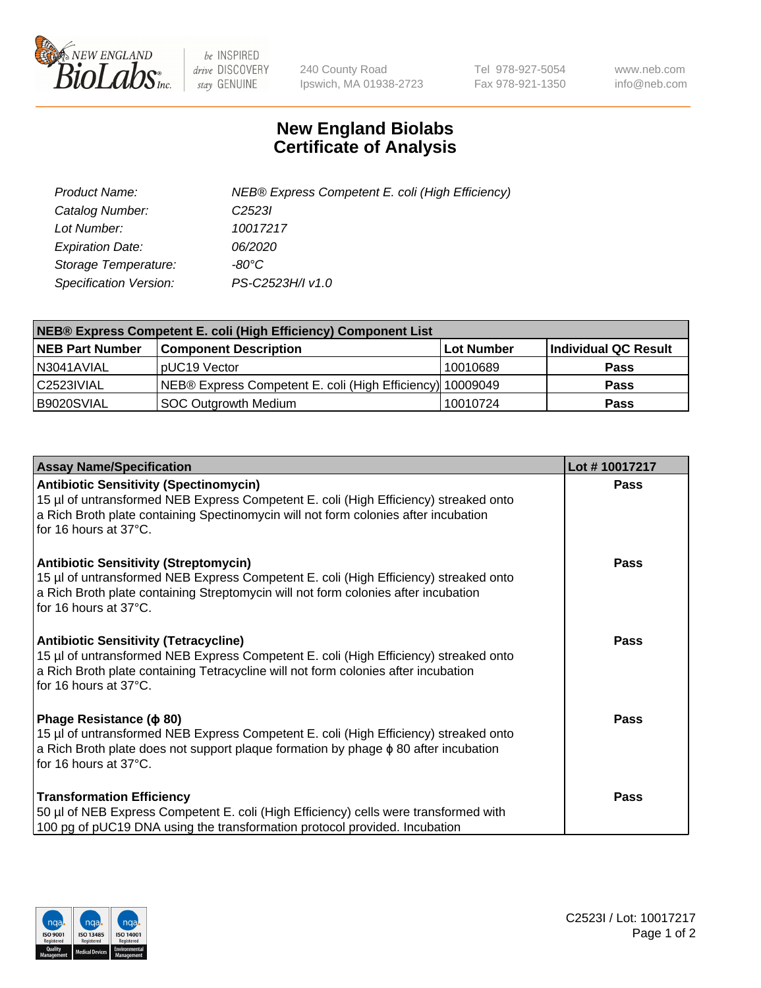

 $be$  INSPIRED drive DISCOVERY stay GENUINE

240 County Road Ipswich, MA 01938-2723 Tel 978-927-5054 Fax 978-921-1350 www.neb.com info@neb.com

## **New England Biolabs Certificate of Analysis**

| Product Name:           | NEB® Express Competent E. coli (High Efficiency) |
|-------------------------|--------------------------------------------------|
| Catalog Number:         | C <sub>2523</sub>                                |
| Lot Number:             | 10017217                                         |
| <b>Expiration Date:</b> | <i>06/2020</i>                                   |
| Storage Temperature:    | -80°C                                            |
| Specification Version:  | PS-C2523H/I v1.0                                 |

| <b>NEB® Express Competent E. coli (High Efficiency) Component List</b> |                                                           |            |                      |  |
|------------------------------------------------------------------------|-----------------------------------------------------------|------------|----------------------|--|
| <b>NEB Part Number</b>                                                 | <b>Component Description</b>                              | Lot Number | Individual QC Result |  |
| N3041AVIAL                                                             | pUC19 Vector                                              | 10010689   | <b>Pass</b>          |  |
| C2523IVIAL                                                             | NEB® Express Competent E. coli (High Efficiency) 10009049 |            | <b>Pass</b>          |  |
| B9020SVIAL                                                             | <b>SOC Outgrowth Medium</b>                               | 10010724   | <b>Pass</b>          |  |

| <b>Assay Name/Specification</b>                                                                                                                                                                                                                       | Lot #10017217 |
|-------------------------------------------------------------------------------------------------------------------------------------------------------------------------------------------------------------------------------------------------------|---------------|
| <b>Antibiotic Sensitivity (Spectinomycin)</b><br>15 µl of untransformed NEB Express Competent E. coli (High Efficiency) streaked onto<br>a Rich Broth plate containing Spectinomycin will not form colonies after incubation<br>for 16 hours at 37°C. | <b>Pass</b>   |
| <b>Antibiotic Sensitivity (Streptomycin)</b><br>15 µl of untransformed NEB Express Competent E. coli (High Efficiency) streaked onto<br>a Rich Broth plate containing Streptomycin will not form colonies after incubation<br>for 16 hours at 37°C.   | Pass          |
| <b>Antibiotic Sensitivity (Tetracycline)</b><br>15 µl of untransformed NEB Express Competent E. coli (High Efficiency) streaked onto<br>a Rich Broth plate containing Tetracycline will not form colonies after incubation<br>for 16 hours at 37°C.   | Pass          |
| Phage Resistance ( $\phi$ 80)<br>15 µl of untransformed NEB Express Competent E. coli (High Efficiency) streaked onto<br>a Rich Broth plate does not support plaque formation by phage $\phi$ 80 after incubation<br>for 16 hours at 37°C.            | <b>Pass</b>   |
| <b>Transformation Efficiency</b><br>50 µl of NEB Express Competent E. coli (High Efficiency) cells were transformed with<br>100 pg of pUC19 DNA using the transformation protocol provided. Incubation                                                | Pass          |